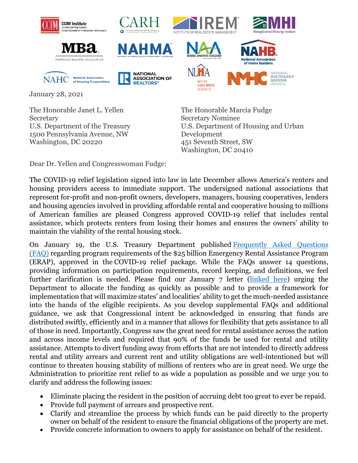



NAHC National Association

of Housing Cooperatives



**NATIONAL** 

**REALTORS®** 

ASSOCIATION OF







January 28, 2021

The Honorable Janet L. Yellen Secretary U.S. Department of the Treasury 1500 Pennsylvania Avenue, NW Washington, DC 20220

The Honorable Marcia Fudge Secretary Nominee U.S. Department of Housing and Urban Development 451 Seventh Street, SW Washington, DC 20410

Dear Dr. Yellen and Congresswoman Fudge:

The COVID-19 relief legislation signed into law in late December allows America's renters and housing providers access to immediate support. The undersigned national associations that represent for-profit and non-profit owners, developers, managers, housing cooperatives, lenders and housing agencies involved in providing affordable rental and cooperative housing to millions of American families are pleased Congress approved COVID-19 relief that includes rental assistance, which protects renters from losing their homes and ensures the owners' ability to maintain the viability of the rental housing stock.

On January 19, the U.S. Treasury Department published [Frequently Asked Questions](https://home.treasury.gov/system/files/136/ERA-Frequently-Asked-Questions_Pub-1-19-21.pdf)  [\(FAQ\)](https://home.treasury.gov/system/files/136/ERA-Frequently-Asked-Questions_Pub-1-19-21.pdf) regarding program requirements of the \$25 billion Emergency Rental Assistance Program (ERAP), approved in the COVID-19 relief package. While the FAQs answer 14 questions, providing information on participation requirements, record keeping, and definitions, we feel further clarification is needed. Please find our January 7 letter [\(linked here\)](https://www.nmhc.org/globalassets/advocacy/comment-letters/2021/2020-01-07-real-estate-letter-on-rental-assistance-implementation.pdfhttps:/www.nmhc.org/globalassets/advocacy/comment-letters/2021/2020-01-07-real-estate-letter-on-rental-assistance-implementation.pdf) urging the Department to allocate the funding as quickly as possible and to provide a framework for implementation that will maximize states' and localities' ability to get the much-needed assistance into the hands of the eligible recipients. As you develop supplemental FAQs and additional guidance, we ask that Congressional intent be acknowledged in ensuring that funds are distributed swiftly, efficiently and in a manner that allows for flexibility that gets assistance to all of those in need. Importantly, Congress saw the great need for rental assistance across the nation and across income levels and required that 90% of the funds be used for rental and utility assistance. Attempts to divert funding away from efforts that are not intended to directly address rental and utility arrears and current rent and utility obligations are well-intentioned but will continue to threaten housing stability of millions of renters who are in great need. We urge the Administration to prioritize rent relief to as wide a population as possible and we urge you to clarify and address the following issues:

- Eliminate placing the resident in the position of accruing debt too great to ever be repaid.
- Provide full payment of arrears and prospective rent.
- Clarify and streamline the process by which funds can be paid directly to the property owner on behalf of the resident to ensure the financial obligations of the property are met.
- Provide concrete information to owners to apply for assistance on behalf of the resident.